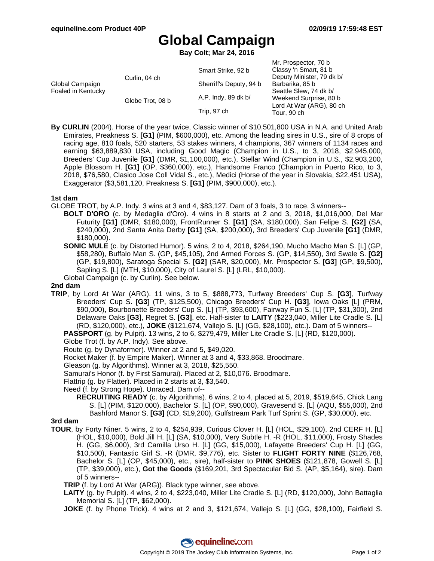Mr. Prospector, 70 b

# **Global Campaign**

**Bay Colt; Mar 24, 2016**

|                                       |                  |                         | IVII. FIUSPECIUI, TU D    |
|---------------------------------------|------------------|-------------------------|---------------------------|
| Global Campaign<br>Foaled in Kentucky | Curlin, 04 ch    | Smart Strike, 92 b      | Classy 'n Smart, 81 b     |
|                                       |                  |                         | Deputy Minister, 79 dk b/ |
|                                       |                  | Sherriff's Deputy, 94 b | Barbarika, 85 b           |
|                                       | Globe Trot, 08 b | A.P. Indy, 89 dk b/     | Seattle Slew, 74 dk b/    |
|                                       |                  |                         | Weekend Surprise, 80 b    |
|                                       |                  | Trip, 97 ch             | Lord At War (ARG), 80 ch  |
|                                       |                  |                         | Tour, 90 ch               |
|                                       |                  |                         |                           |

**By CURLIN** (2004). Horse of the year twice, Classic winner of \$10,501,800 USA in N.A. and United Arab Emirates, Preakness S. **[G1]** (PIM, \$600,000), etc. Among the leading sires in U.S., sire of 8 crops of racing age, 810 foals, 520 starters, 53 stakes winners, 4 champions, 367 winners of 1134 races and earning \$63,889,830 USA, including Good Magic (Champion in U.S., to 3, 2018, \$2,945,000, Breeders' Cup Juvenile **[G1]** (DMR, \$1,100,000), etc.), Stellar Wind (Champion in U.S., \$2,903,200, Apple Blossom H. **[G1]** (OP, \$360,000), etc.), Handsome Franco (Champion in Puerto Rico, to 3, 2018, \$76,580, Clasico Jose Coll Vidal S., etc.), Medici (Horse of the year in Slovakia, \$22,451 USA), Exaggerator (\$3,581,120, Preakness S. **[G1]** (PIM, \$900,000), etc.).

#### **1st dam**

GLOBE TROT, by A.P. Indy. 3 wins at 3 and 4, \$83,127. Dam of 3 foals, 3 to race, 3 winners--

**BOLT D'ORO** (c. by Medaglia d'Oro). 4 wins in 8 starts at 2 and 3, 2018, \$1,016,000, Del Mar Futurity **[G1]** (DMR, \$180,000), FrontRunner S. **[G1]** (SA, \$180,000), San Felipe S. **[G2]** (SA, \$240,000), 2nd Santa Anita Derby **[G1]** (SA, \$200,000), 3rd Breeders' Cup Juvenile **[G1]** (DMR, \$180,000).

**SONIC MULE** (c. by Distorted Humor). 5 wins, 2 to 4, 2018, \$264,190, Mucho Macho Man S. [L] (GP, \$58,280), Buffalo Man S. (GP, \$45,105), 2nd Armed Forces S. (GP, \$14,550), 3rd Swale S. **[G2]** (GP, \$19,800), Saratoga Special S. **[G2]** (SAR, \$20,000), Mr. Prospector S. **[G3]** (GP, \$9,500), Sapling S. [L] (MTH, \$10,000), City of Laurel S. [L] (LRL, \$10,000).

Global Campaign (c. by Curlin). See below.

#### **2nd dam**

**TRIP**, by Lord At War (ARG). 11 wins, 3 to 5, \$888,773, Turfway Breeders' Cup S. **[G3]**, Turfway Breeders' Cup S. **[G3]** (TP, \$125,500), Chicago Breeders' Cup H. **[G3]**, Iowa Oaks [L] (PRM, \$90,000), Bourbonette Breeders' Cup S. [L] (TP, \$93,600), Fairway Fun S. [L] (TP, \$31,300), 2nd Delaware Oaks **[G3]**, Regret S. **[G3]**, etc. Half-sister to **LAITY** (\$223,040, Miller Lite Cradle S. [L] (RD, \$120,000), etc.), **JOKE** (\$121,674, Vallejo S. [L] (GG, \$28,100), etc.). Dam of 5 winners-- **PASSPORT** (g. by Pulpit). 13 wins, 2 to 6, \$279,479, Miller Lite Cradle S. [L] (RD, \$120,000).

Globe Trot (f. by A.P. Indy). See above.

Route (g. by Dynaformer). Winner at 2 and 5, \$49,020.

Rocket Maker (f. by Empire Maker). Winner at 3 and 4, \$33,868. Broodmare.

Gleason (g. by Algorithms). Winner at 3, 2018, \$25,550.

Samurai's Honor (f. by First Samurai). Placed at 2, \$10,076. Broodmare.

Flattrip (g. by Flatter). Placed in 2 starts at 3, \$3,540.

Need (f. by Strong Hope). Unraced. Dam of--

**RECRUITING READY** (c. by Algorithms). 6 wins, 2 to 4, placed at 5, 2019, \$519,645, Chick Lang S. [L] (PIM, \$120,000), Bachelor S. [L] (OP, \$90,000), Gravesend S. [L] (AQU, \$55,000), 2nd Bashford Manor S. **[G3]** (CD, \$19,200), Gulfstream Park Turf Sprint S. (GP, \$30,000), etc.

### **3rd dam**

**TOUR**, by Forty Niner. 5 wins, 2 to 4, \$254,939, Curious Clover H. [L] (HOL, \$29,100), 2nd CERF H. [L] (HOL, \$10,000), Bold Jill H. [L] (SA, \$10,000), Very Subtle H. -R (HOL, \$11,000), Frosty Shades H. (GG, \$6,000), 3rd Camilla Urso H. [L] (GG, \$15,000), Lafayette Breeders' Cup H. [L] (GG, \$10,500), Fantastic Girl S. -R (DMR, \$9,776), etc. Sister to **FLIGHT FORTY NINE** (\$126,768, Bachelor S. [L] (OP, \$45,000), etc., sire), half-sister to **PINK SHOES** (\$121,878, Gowell S. [L] (TP, \$39,000), etc.), **Got the Goods** (\$169,201, 3rd Spectacular Bid S. (AP, \$5,164), sire). Dam of 5 winners--

**TRIP** (f. by Lord At War (ARG)). Black type winner, see above.

- **LAITY** (g. by Pulpit). 4 wins, 2 to 4, \$223,040, Miller Lite Cradle S. [L] (RD, \$120,000), John Battaglia Memorial S. [L] (TP, \$62,000).
- **JOKE** (f. by Phone Trick). 4 wins at 2 and 3, \$121,674, Vallejo S. [L] (GG, \$28,100), Fairfield S.